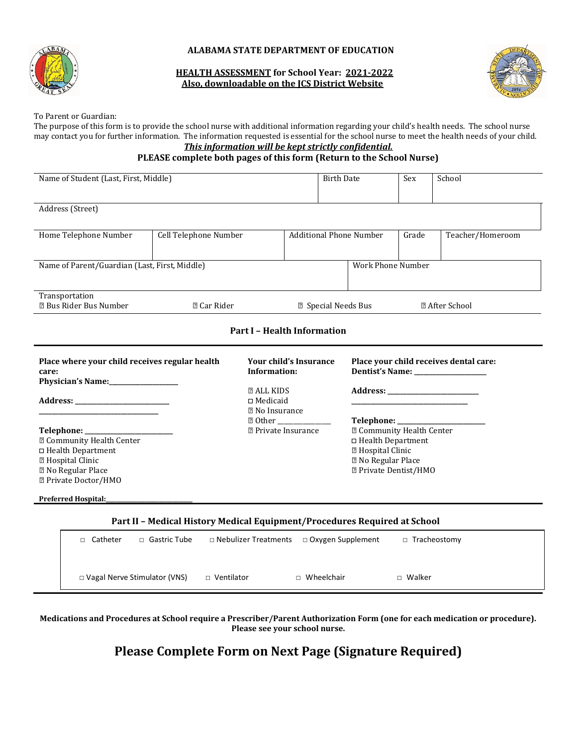

### **ALABAMA STATE DEPARTMENT OF EDUCATION**

### **HEALTH ASSESSMENT for School Year: 2021-2022 Also, downloadable on the JCS District Website**



To Parent or Guardian:

The purpose of this form is to provide the school nurse with additional information regarding your child's health needs. The school nurse may contact you for further information. The information requested is essential for the school nurse to meet the health needs of your child. *This information will be kept strictly confidential.*

## **PLEASE complete both pages of this form (Return to the School Nurse)**

| Name of Student (Last, First, Middle)                                                                                                                                |                       |                                                              | <b>Birth Date</b>   |                                                                                                                                                                          | Sex   | School                                                                                                                                                                                                                         |
|----------------------------------------------------------------------------------------------------------------------------------------------------------------------|-----------------------|--------------------------------------------------------------|---------------------|--------------------------------------------------------------------------------------------------------------------------------------------------------------------------|-------|--------------------------------------------------------------------------------------------------------------------------------------------------------------------------------------------------------------------------------|
| Address (Street)                                                                                                                                                     |                       |                                                              |                     |                                                                                                                                                                          |       |                                                                                                                                                                                                                                |
| Home Telephone Number                                                                                                                                                | Cell Telephone Number |                                                              |                     | <b>Additional Phone Number</b>                                                                                                                                           | Grade | Teacher/Homeroom                                                                                                                                                                                                               |
| Name of Parent/Guardian (Last, First, Middle)                                                                                                                        |                       |                                                              |                     | <b>Work Phone Number</b>                                                                                                                                                 |       |                                                                                                                                                                                                                                |
| Transportation<br><b>Z Bus Rider Bus Number</b>                                                                                                                      | <b>2 Car Rider</b>    |                                                              | 2 Special Needs Bus |                                                                                                                                                                          |       | <b>2 After School</b>                                                                                                                                                                                                          |
|                                                                                                                                                                      |                       | <b>Part I - Health Information</b>                           |                     |                                                                                                                                                                          |       |                                                                                                                                                                                                                                |
|                                                                                                                                                                      |                       |                                                              |                     |                                                                                                                                                                          |       |                                                                                                                                                                                                                                |
| Place where your child receives regular health<br>care:                                                                                                              |                       | <b>Your child's Insurance</b><br>Information:                |                     |                                                                                                                                                                          |       | Place your child receives dental care:                                                                                                                                                                                         |
| Physician's Name:                                                                                                                                                    |                       | <b>ZALL KIDS</b><br>$\Box$ Medicaid<br><b>2</b> No Insurance |                     |                                                                                                                                                                          |       | Address: the contract of the contract of the contract of the contract of the contract of the contract of the contract of the contract of the contract of the contract of the contract of the contract of the contract of the c |
| Telephone: ___________<br><sup>2</sup> Community Health Center<br>$\Box$ Health Department<br>7 Hospital Clinic<br><b>Z</b> No Regular Place<br>2 Private Doctor/HMO |                       | 7 Other<br><sup>2</sup> Private Insurance                    |                     | Telephone: ____________<br><sup>2</sup> Community Health Center<br>□ Health Department<br><b>Z</b> Hospital Clinic<br>7 No Regular Place<br><b>Z</b> Private Dentist/HMO |       |                                                                                                                                                                                                                                |

### **Part II – Medical History Medical Equipment/Procedures Required at School**

| Catheter | □ Gastric Tube                      | $\Box$ Nebulizer Treatments $\Box$ Oxygen Supplement |                   | □ Tracheostomy |  |
|----------|-------------------------------------|------------------------------------------------------|-------------------|----------------|--|
|          | $\Box$ Vagal Nerve Stimulator (VNS) | $\Box$ Ventilator                                    | $\Box$ Wheelchair | $\Box$ Walker  |  |

## **Medications and Procedures at School require a Prescriber/Parent Authorization Form (one for each medication or procedure). Please see your school nurse.**

## **Please Complete Form on Next Page (Signature Required)**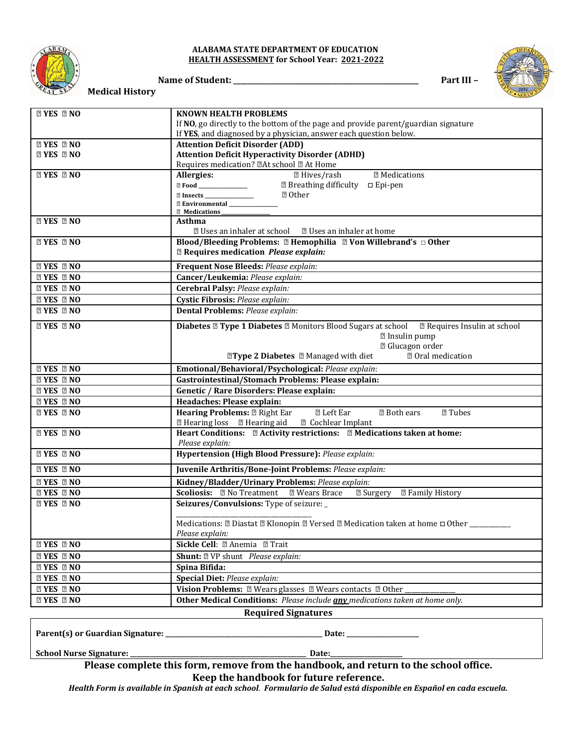

#### **ALABAMA STATE DEPARTMENT OF EDUCATION HEALTH ASSESSMENT for School Year: 2021-2022**

**Name of Student: \_\_\_\_\_\_\_\_\_\_\_\_\_\_\_\_\_\_\_\_\_\_\_\_\_\_\_\_\_\_\_\_\_\_\_\_\_\_\_\_\_\_\_\_\_\_\_\_\_\_\_\_\_ Part III – Medical History**



| <b>ZI YES ZI NO</b> | KNOWN HEALTH PROBLEMS                                                                                                            |  |  |
|---------------------|----------------------------------------------------------------------------------------------------------------------------------|--|--|
|                     | If NO, go directly to the bottom of the page and provide parent/guardian signature                                               |  |  |
|                     | If YES, and diagnosed by a physician, answer each question below.                                                                |  |  |
| <b>ZYES ZNO</b>     | <b>Attention Deficit Disorder (ADD)</b>                                                                                          |  |  |
| <b>ZI YES ZI NO</b> | <b>Attention Deficit Hyperactivity Disorder (ADHD)</b><br>Requires medication? @At school @ At Home                              |  |  |
| <b>ZYES ZNO</b>     | <b>2 Medications</b><br>Allergies:<br><b>2 Hives/rash</b>                                                                        |  |  |
|                     | <b>2 Breathing difficulty</b> □ Epi-pen<br>2 Food _______________                                                                |  |  |
|                     | <b>2 Other</b>                                                                                                                   |  |  |
|                     | <b>Z Environmental</b>                                                                                                           |  |  |
|                     | <b>Z</b> Medications                                                                                                             |  |  |
| <b>ZIYES ZNO</b>    | <b>Asthma</b><br><b>Z</b> Uses an inhaler at school <b>Z</b> Uses an inhaler at home                                             |  |  |
| <b>ZYES ZNO</b>     | Blood/Bleeding Problems: 2 Hemophilia 2 Von Willebrand's 0 Other                                                                 |  |  |
|                     | <sup>2</sup> Requires medication <i>Please explain:</i>                                                                          |  |  |
| <b>ZYES ZNO</b>     |                                                                                                                                  |  |  |
| <b>ZYES ZNO</b>     | Frequent Nose Bleeds: Please explain:<br>Cancer/Leukemia: Please explain:                                                        |  |  |
| <b>ZYES ZNO</b>     | Cerebral Palsy: Please explain:                                                                                                  |  |  |
| <b>ZYES ZNO</b>     | Cystic Fibrosis: Please explain:                                                                                                 |  |  |
| <b>ZYES ZNO</b>     | Dental Problems: Please explain:                                                                                                 |  |  |
|                     |                                                                                                                                  |  |  |
| <b>ZYES ZNO</b>     | <b>Diabetes 2 Type 1 Diabetes 2 Monitors Blood Sugars at school 2 Requires Insulin at school</b>                                 |  |  |
|                     | <b>sqrt</b> Insulin pump<br><sup>2</sup> Glucagon order                                                                          |  |  |
|                     | <b>□</b> Oral medication<br><b>Type 2 Diabetes Z</b> Managed with diet                                                           |  |  |
| <b>ZYES ZNO</b>     | Emotional/Behavioral/Psychological: Please explain:                                                                              |  |  |
| <b>ZYES ZNO</b>     | Gastrointestinal/Stomach Problems: Please explain:                                                                               |  |  |
| <b>ZYES ZNO</b>     | Genetic / Rare Disorders: Please explain:                                                                                        |  |  |
| <b>ZYES ZNO</b>     | Headaches: Please explain:                                                                                                       |  |  |
| <b>ZYES ZNO</b>     | Hearing Problems: 2 Right Ear<br><b>7 Tubes</b><br><b>2 Left Ear</b><br><b><b>□</b> Both ears</b>                                |  |  |
|                     | 7 Hearing loss 7 Hearing aid<br><sup>2</sup> Cochlear Implant                                                                    |  |  |
| <b>ZYES ZNO</b>     | Heart Conditions: 2 Activity restrictions: 2 Medications taken at home:                                                          |  |  |
|                     | Please explain:                                                                                                                  |  |  |
| <b>ZYES ZNO</b>     | Hypertension (High Blood Pressure): Please explain:                                                                              |  |  |
| <b>ZYES ZNO</b>     | Juvenile Arthritis/Bone-Joint Problems: Please explain:                                                                          |  |  |
| <b>ZYES ZNO</b>     | Kidney/Bladder/Urinary Problems: Please explain:                                                                                 |  |  |
| <b>ZYES ZNO</b>     | Scoliosis: <b>Z</b> No Treatment<br><b>72 Wears Brace</b><br><b>2 Surgery</b><br><b>2 Family History</b>                         |  |  |
| <b>ZYES ZNO</b>     | Seizures/Convulsions: Type of seizure: _                                                                                         |  |  |
|                     | Medications: $\mathbb Z$ Diastat $\mathbb Z$ Klonopin $\mathbb Z$ Versed $\mathbb Z$ Medication taken at home $\Box$ Other _____ |  |  |
|                     | Please explain:                                                                                                                  |  |  |
| <b>ZYES ZNO</b>     | Sickle Cell: 2 Anemia 2 Trait                                                                                                    |  |  |
| <b>ZI YES ZI NO</b> | <b>Shunt:</b> 2 VP shunt <i>Please explain:</i>                                                                                  |  |  |
| <b>ZI YES ZI NO</b> | Spina Bifida:                                                                                                                    |  |  |
| <b>ZI YES ZI NO</b> | Special Diet: Please explain:                                                                                                    |  |  |
| <b>ZYES ZNO</b>     | Vision Problems: 2 Wears glasses 2 Wears contacts 2 Other                                                                        |  |  |
| <b>ZYES ZNO</b>     | Other Medical Conditions: Please include any medications taken at home only.                                                     |  |  |
|                     | <b>Required Signatures</b>                                                                                                       |  |  |

**Parent(s) or Guardian Signature: \_\_\_\_\_\_\_\_\_\_\_\_\_\_\_\_\_\_\_\_\_\_\_\_\_\_\_\_\_\_\_\_\_\_\_\_\_\_\_\_\_\_\_\_\_\_\_\_\_\_ Date: \_\_\_\_\_\_\_\_\_\_\_\_\_\_\_\_\_\_\_\_\_\_\_**

**School Nurse Signature: \_\_\_\_\_\_\_\_\_\_\_\_\_\_\_\_\_\_\_\_\_\_\_\_\_\_\_\_\_\_\_\_\_\_\_\_\_\_\_\_\_\_\_\_\_\_\_\_\_\_\_\_\_\_\_\_ Date:\_\_\_\_\_\_\_\_\_\_\_\_\_\_\_\_\_\_\_\_\_\_\_**

**Please complete this form, remove from the handbook, and return to the school office.** 

**Keep the handbook for future reference.**

*Health Form is available in Spanish at each school. Formulario de Salud está disponible en Español en cada escuela.*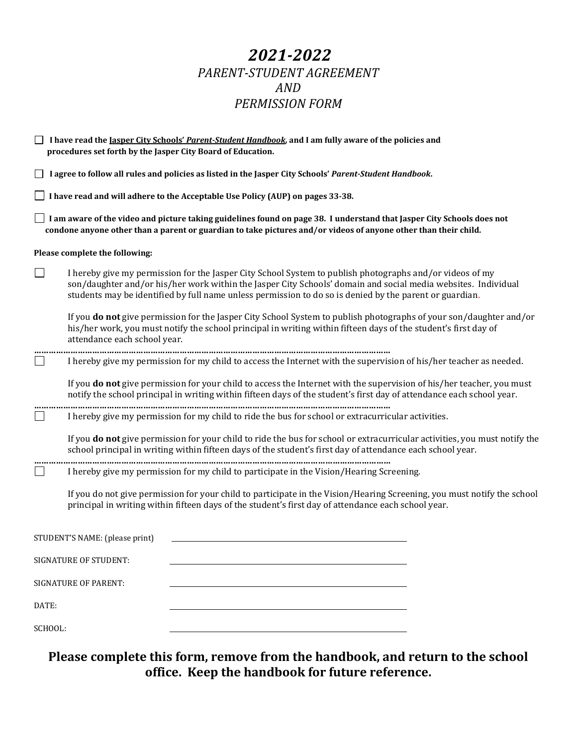# *2021-2022 PARENT-STUDENT AGREEMENT AND PERMISSION FORM*

|         | I have read the Jasper City Schools' Parent-Student Handbook, and I am fully aware of the policies and<br>procedures set forth by the Jasper City Board of Education.                                                                                                                                                                |
|---------|--------------------------------------------------------------------------------------------------------------------------------------------------------------------------------------------------------------------------------------------------------------------------------------------------------------------------------------|
|         | I agree to follow all rules and policies as listed in the Jasper City Schools' Parent-Student Handbook.                                                                                                                                                                                                                              |
|         | I have read and will adhere to the Acceptable Use Policy (AUP) on pages 33-38.                                                                                                                                                                                                                                                       |
|         | I am aware of the video and picture taking guidelines found on page 38. I understand that Jasper City Schools does not<br>condone anyone other than a parent or guardian to take pictures and/or videos of anyone other than their child.                                                                                            |
|         | Please complete the following:                                                                                                                                                                                                                                                                                                       |
| $\Box$  | I hereby give my permission for the Jasper City School System to publish photographs and/or videos of my<br>son/daughter and/or his/her work within the Jasper City Schools' domain and social media websites. Individual<br>students may be identified by full name unless permission to do so is denied by the parent or guardian. |
|         | If you do not give permission for the Jasper City School System to publish photographs of your son/daughter and/or<br>his/her work, you must notify the school principal in writing within fifteen days of the student's first day of<br>attendance each school year.                                                                |
|         | I hereby give my permission for my child to access the Internet with the supervision of his/her teacher as needed.                                                                                                                                                                                                                   |
|         | If you do not give permission for your child to access the Internet with the supervision of his/her teacher, you must<br>notify the school principal in writing within fifteen days of the student's first day of attendance each school year.                                                                                       |
|         | I hereby give my permission for my child to ride the bus for school or extracurricular activities.                                                                                                                                                                                                                                   |
|         | If you do not give permission for your child to ride the bus for school or extracurricular activities, you must notify the<br>school principal in writing within fifteen days of the student's first day of attendance each school year.                                                                                             |
|         | I hereby give my permission for my child to participate in the Vision/Hearing Screening.                                                                                                                                                                                                                                             |
|         | If you do not give permission for your child to participate in the Vision/Hearing Screening, you must notify the school<br>principal in writing within fifteen days of the student's first day of attendance each school year.                                                                                                       |
|         | STUDENT'S NAME: (please print)                                                                                                                                                                                                                                                                                                       |
|         | <b>SIGNATURE OF STUDENT:</b>                                                                                                                                                                                                                                                                                                         |
|         | <b>SIGNATURE OF PARENT:</b>                                                                                                                                                                                                                                                                                                          |
| DATE:   |                                                                                                                                                                                                                                                                                                                                      |
| SCHOOL: |                                                                                                                                                                                                                                                                                                                                      |

**Please complete this form, remove from the handbook, and return to the school office. Keep the handbook for future reference.**